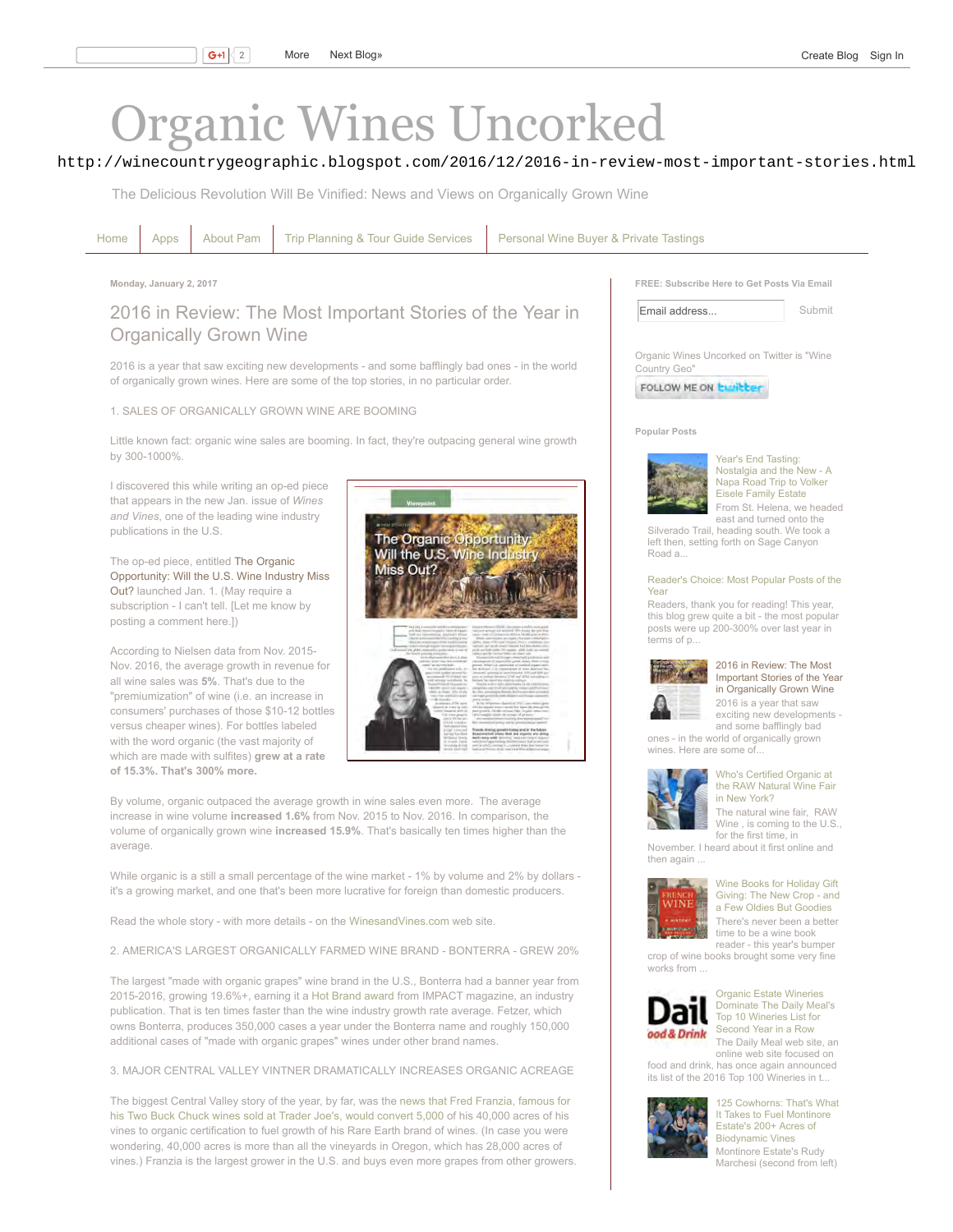# Organic Wines Uncorked

# http://winecountrygeographic.blogspot.com/2016/12/2016-in-review-most-important-stories.html

The Delicious Revolution Will Be Vinified: News and Views on Organically Grown Wine

Home Apps About Pam Trip Planning & Tour Guide Services Personal Wine Buyer & Private Tastings

**Monday, January 2, 2017**

# 2016 in Review: The Most Important Stories of the Year in Organically Grown Wine

2016 is a year that saw exciting new developments - and some bafflingly bad ones - in the world of organically grown wines. Here are some of the top stories, in no particular order.

1. SALES OF ORGANICALLY GROWN WINE ARE BOOMING

Little known fact: organic wine sales are booming. In fact, they're outpacing general wine growth by 300-1000%.

I discovered this while writing an op-ed piece that appears in the new Jan. issue of *Wines and Vines*, one of the leading wine industry publications in the U.S.

The op-ed piece, entitled The Organic Opportunity: Will the U.S. Wine Industry Miss Out? launched Jan. 1. (May require a subscription - I can't tell. [Let me know by posting a comment here.])

According to Nielsen data from Nov. 2015 Nov. 2016, the average growth in revenue for all wine sales was **5%**. That's due to the "premiumization" of wine (i.e. an increase in consumers' purchases of those \$10-12 bottles versus cheaper wines). For bottles labeled with the word organic (the vast majority of which are made with sulfites) **grew at a rate of 15.3%. That's 300% more.**



By volume, organic outpaced the average growth in wine sales even more. The average increase in wine volume **increased 1.6%** from Nov. 2015 to Nov. 2016. In comparison, the volume of organically grown wine **increased 15.9%**. That's basically ten times higher than the average.

While organic is a still a small percentage of the wine market - 1% by volume and 2% by dollars it's a growing market, and one that's been more lucrative for foreign than domestic producers.

Read the whole story - with more details - on the WinesandVines com web site.

2. AMERICA'S LARGEST ORGANICALLY FARMED WINE BRAND - BONTERRA - GREW 20%

The largest "made with organic grapes" wine brand in the U.S., Bonterra had a banner year from 2015-2016, growing 19.6%+, earning it a Hot Brand award from IMPACT magazine, an industry publication. That is ten times faster than the wine industry growth rate average. Fetzer, which owns Bonterra, produces 350,000 cases a year under the Bonterra name and roughly 150,000 additional cases of "made with organic grapes" wines under other brand names.

3. MAJOR CENTRAL VALLEY VINTNER DRAMATICALLY INCREASES ORGANIC ACREAGE

The biggest Central Valley story of the year, by far, was the news that Fred Franzia, famous for his Two Buck Chuck wines sold at Trader Joe's, would convert 5,000 of his 40,000 acres of his vines to organic certification to fuel growth of his Rare Earth brand of wines. (In case you were wondering, 40,000 acres is more than all the vineyards in Oregon, which has 28,000 acres of vines.) Franzia is the largest grower in the U.S. and buys even more grapes from other growers. **FREE: Subscribe Here to Get Posts Via Email**

Organic Wines Uncorked on Twitter is "Wine Country Geo"

FOLLOW ME ON EWILLER

**Popular Posts**



Year's End Tasting: Nostalgia and the New - A Napa Road Trip to Volker Eisele Family Estate From St. Helena, we headed east and turned onto the

Silverado Trail, heading south. We took a left then, setting forth on Sage Canyon Road a...

#### Reader's Choice: Most Popular Posts of the Year

Readers, thank you for reading! This year, this blog grew quite a bit - the most popular posts were up 200-300% over last year in terms of p...



2016 in Review: The Most Important Stories of the Year in Organically Grown Wine 2016 is a year that saw exciting new developments and some bafflingly bad

ones - in the world of organically grown wines. Here are some of...



#### Who's Certified Organic at the RAW Natural Wine Fair in New York?

The natural wine fair, RAW Wine , is coming to the U.S., for the first time, in

November. I heard about it first online and then again ...



Wine Books for Holiday Gift Giving: The New Crop - and a Few Oldies But Goodies There's never been a better time to be a wine book

reader - this year's bumper crop of wine books brought some very fine works from



#### Organic Estate Wineries Dominate The Daily Meal's Top 10 Wineries List for Second Year in a Row

The Daily Meal web site, an online web site focused on food and drink, has once again announced its list of the 2016 Top 100 Wineries in t...



125 Cowhorns: That's What It Takes to Fuel Montinore Estate's 200+ Acres of Biodynamic Vines Montinore Estate's Rudy Marchesi (second from left)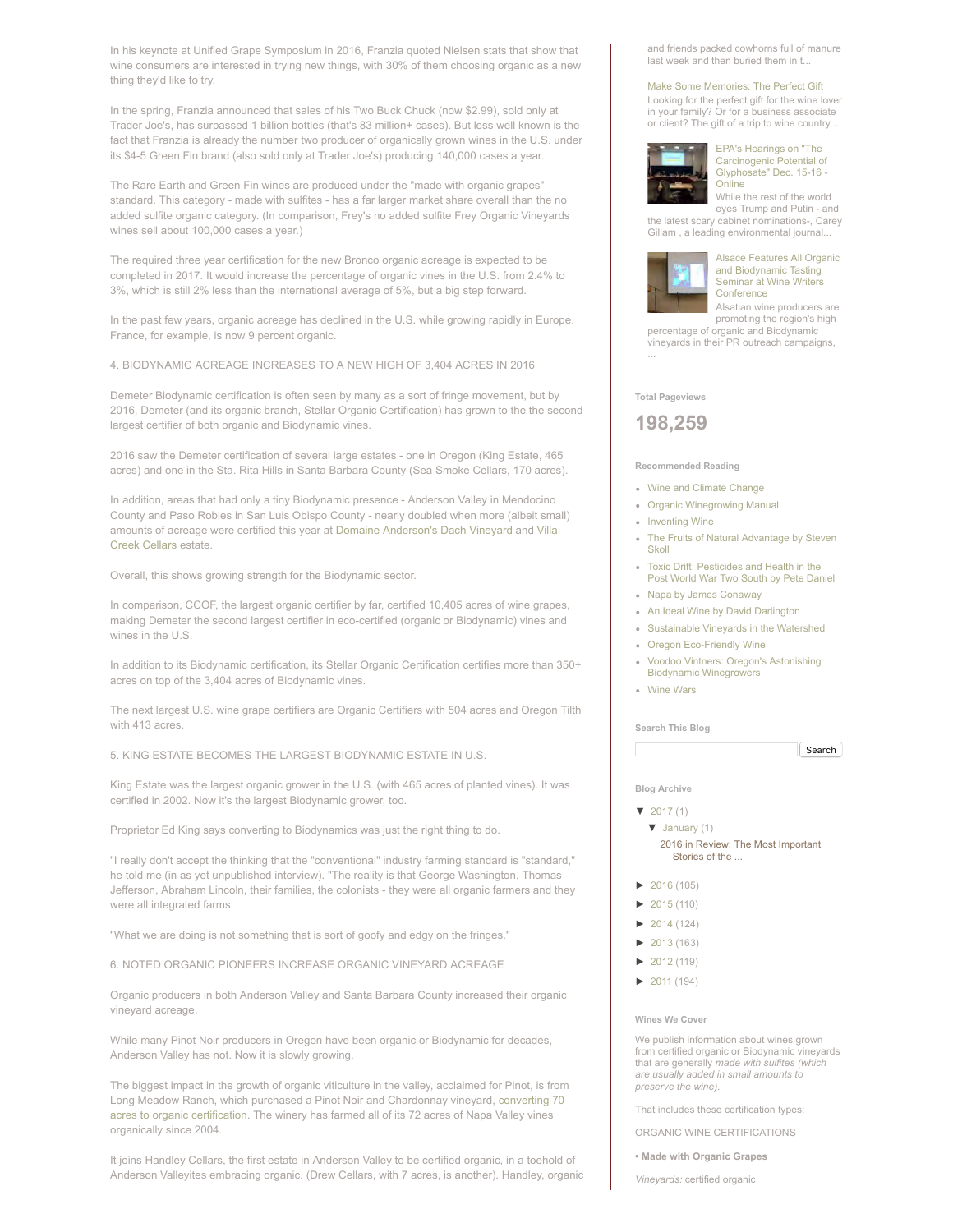In his keynote at Unified Grape Symposium in 2016, Franzia quoted Nielsen stats that show that wine consumers are interested in trying new things, with 30% of them choosing organic as a new thing they'd like to try.

In the spring, Franzia announced that sales of his Two Buck Chuck (now \$2.99), sold only at Trader Joe's, has surpassed 1 billion bottles (that's 83 million+ cases). But less well known is the fact that Franzia is already the number two producer of organically grown wines in the U.S. under its \$4-5 Green Fin brand (also sold only at Trader Joe's) producing 140,000 cases a year.

The Rare Earth and Green Fin wines are produced under the "made with organic grapes" standard. This category - made with sulfites - has a far larger market share overall than the no added sulfite organic category. (In comparison, Frey's no added sulfite Frey Organic Vineyards wines sell about 100,000 cases a year.)

The required three year certification for the new Bronco organic acreage is expected to be completed in 2017. It would increase the percentage of organic vines in the U.S. from 2.4% to 3%, which is still 2% less than the international average of 5%, but a big step forward.

In the past few years, organic acreage has declined in the U.S. while growing rapidly in Europe. France, for example, is now 9 percent organic.

4. BIODYNAMIC ACREAGE INCREASES TO A NEW HIGH OF 3,404 ACRES IN 2016

Demeter Biodynamic certification is often seen by many as a sort of fringe movement, but by 2016, Demeter (and its organic branch, Stellar Organic Certification) has grown to the the second largest certifier of both organic and Biodynamic vines.

2016 saw the Demeter certification of several large estates - one in Oregon (King Estate, 465 acres) and one in the Sta. Rita Hills in Santa Barbara County (Sea Smoke Cellars, 170 acres).

In addition, areas that had only a tiny Biodynamic presence - Anderson Valley in Mendocino County and Paso Robles in San Luis Obispo County - nearly doubled when more (albeit small) amounts of acreage were certified this year at Domaine Anderson's Dach Vineyard and Villa Creek Cellars estate.

Overall, this shows growing strength for the Biodynamic sector.

In comparison, CCOF, the largest organic certifier by far, certified 10,405 acres of wine grapes, making Demeter the second largest certifier in eco-certified (organic or Biodynamic) vines and wines in the U.S.

In addition to its Biodynamic certification, its Stellar Organic Certification certifies more than 350+ acres on top of the 3,404 acres of Biodynamic vines.

The next largest U.S. wine grape certifiers are Organic Certifiers with 504 acres and Oregon Tilth with 413 acres.

5. KING ESTATE BECOMES THE LARGEST BIODYNAMIC ESTATE IN U.S.

King Estate was the largest organic grower in the U.S. (with 465 acres of planted vines). It was certified in 2002. Now it's the largest Biodynamic grower, too.

Proprietor Ed King says converting to Biodynamics was just the right thing to do.

"I really don't accept the thinking that the "conventional" industry farming standard is "standard," he told me (in as yet unpublished interview). "The reality is that George Washington, Thomas Jefferson, Abraham Lincoln, their families, the colonists - they were all organic farmers and they were all integrated farms.

"What we are doing is not something that is sort of goofy and edgy on the fringes."

6. NOTED ORGANIC PIONEERS INCREASE ORGANIC VINEYARD ACREAGE

Organic producers in both Anderson Valley and Santa Barbara County increased their organic vineyard acreage.

While many Pinot Noir producers in Oregon have been organic or Biodynamic for decades, Anderson Valley has not. Now it is slowly growing.

The biggest impact in the growth of organic viticulture in the valley, acclaimed for Pinot, is from Long Meadow Ranch, which purchased a Pinot Noir and Chardonnay vineyard, converting 70 acres to organic certification. The winery has farmed all of its 72 acres of Napa Valley vines organically since 2004.

It joins Handley Cellars, the first estate in Anderson Valley to be certified organic, in a toehold of Anderson Valleyites embracing organic. (Drew Cellars, with 7 acres, is another). Handley, organic and friends packed cowhorns full of manure last week and then buried them in t...

#### Make Some Memories: The Perfect Gift

Looking for the perfect gift for the wine lover in your family? Or for a business associate or client? The gift of a trip to wine country ...



EPA's Hearings on "The Carcinogenic Potential of Glyphosate" Dec. 15-16 -Online

While the rest of the world eyes Trump and Putin - and the latest scary cabinet nominations, Carey Gillam , a leading environmental journal...



Alsace Features All Organic and Biodynamic Tasting Seminar at Wine Writers **Conference** 

Alsatian wine producers are promoting the region's high

percentage of organic and Biodynamic vineyards in their PR outreach campaigns,

**Total Pageviews**



**Recommended Reading**

- Wine and Climate Change
- Organic Winegrowing Manual
- Inventing Wine
- The Fruits of Natural Advantage by Steven Skoll
- Toxic Drift: Pesticides and Health in the Post World War Two South by Pete Daniel
- Napa by James Conaway
- An Ideal Wine by David Darlington
- Sustainable Vineyards in the Watershed
- Oregon Eco-Friendly Wine
- Voodoo Vintners: Oregon's Astonishing Biodynamic Winegrowers
- Wine Wars

**Search This Blog**



**Blog Archive**

- ▼ 2017 (1)
	- ▼ January (1) 2016 in Review: The Most Important Stories of the
- ► 2016 (105)
- ► 2015 (110)
- $\blacktriangleright$  2014 (124)
- ► 2013 (163)
- $\blacktriangleright$  2012 (119)
- $\blacktriangleright$  2011 (194)

#### **Wines We Cover**

We publish information about wines grown from certified organic or Biodynamic vineyards that are generally *made with sulfites (which are usually added in small amounts to preserve the wine).*

That includes these certification types:

ORGANIC WINE CERTIFICATIONS

**• Made with Organic Grapes**

*Vineyards:* certified organic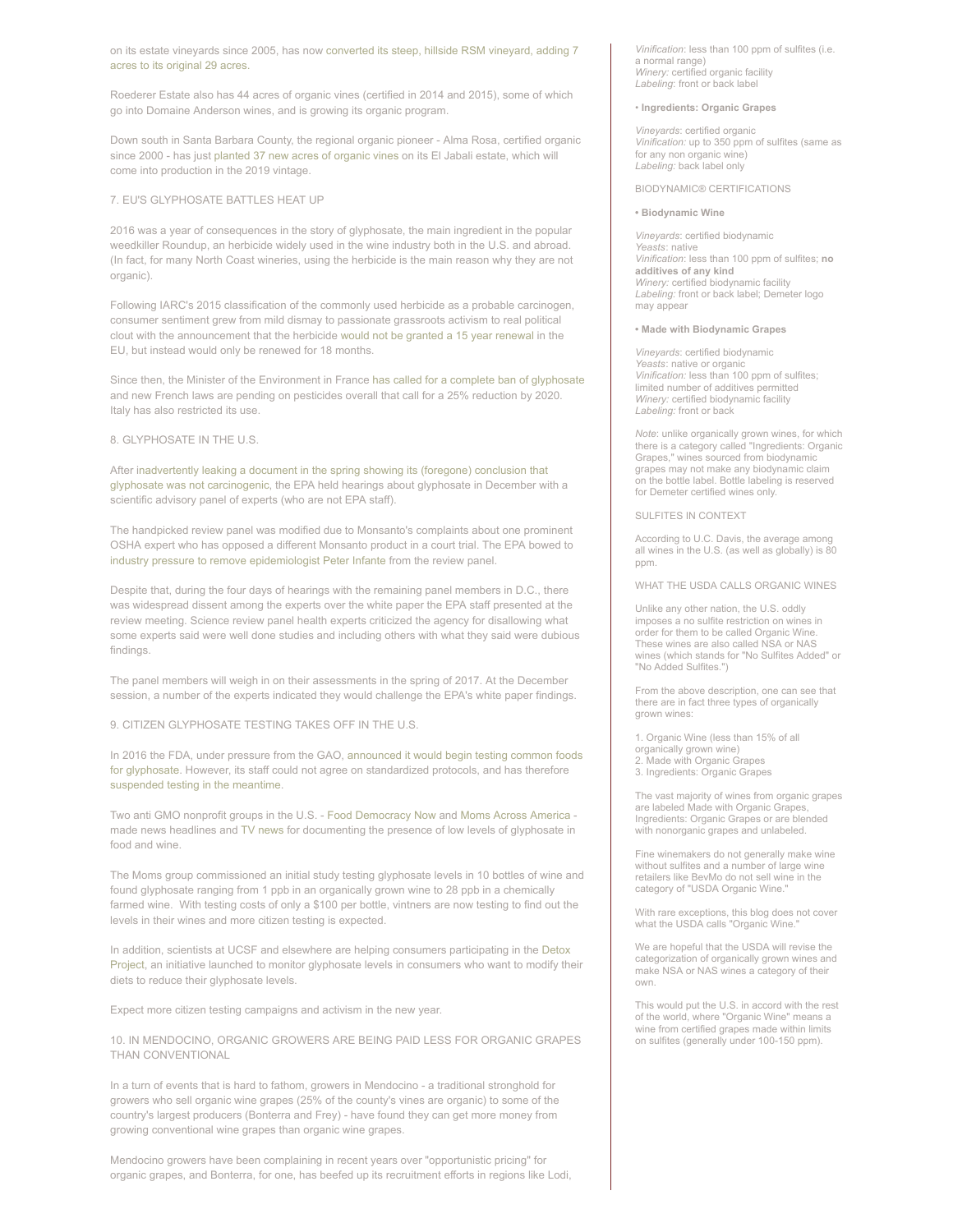on its estate vineyards since 2005, has now converted its steep, hillside RSM vineyard, adding 7 acres to its original 29 acres.

Roederer Estate also has 44 acres of organic vines (certified in 2014 and 2015), some of which go into Domaine Anderson wines, and is growing its organic program.

Down south in Santa Barbara County, the regional organic pioneer - Alma Rosa, certified organic since 2000 - has just planted 37 new acres of organic vines on its El Jabali estate, which will come into production in the 2019 vintage.

#### 7. EU'S GLYPHOSATE BATTLES HEAT UP

2016 was a year of consequences in the story of glyphosate, the main ingredient in the popular weedkiller Roundup, an herbicide widely used in the wine industry both in the U.S. and abroad. (In fact, for many North Coast wineries, using the herbicide is the main reason why they are not organic).

Following IARC's 2015 classification of the commonly used herbicide as a probable carcinogen, consumer sentiment grew from mild dismay to passionate grassroots activism to real political clout with the announcement that the herbicide would not be granted a 15 year renewal in the EU, but instead would only be renewed for 18 months.

Since then, the Minister of the Environment in France has called for a complete ban of glyphosate and new French laws are pending on pesticides overall that call for a 25% reduction by 2020. Italy has also restricted its use.

## 8. GLYPHOSATE IN THE U.S.

After inadvertently leaking a document in the spring showing its (foregone) conclusion that glyphosate was not carcinogenic, the EPA held hearings about glyphosate in December with a scientific advisory panel of experts (who are not EPA staff).

The handpicked review panel was modified due to Monsanto's complaints about one prominent OSHA expert who has opposed a different Monsanto product in a court trial. The EPA bowed to industry pressure to remove epidemiologist Peter Infante from the review panel.

Despite that, during the four days of hearings with the remaining panel members in D.C., there was widespread dissent among the experts over the white paper the EPA staff presented at the review meeting. Science review panel health experts criticized the agency for disallowing what some experts said were well done studies and including others with what they said were dubious findings.

The panel members will weigh in on their assessments in the spring of 2017. At the December session, a number of the experts indicated they would challenge the EPA's white paper findings.

### 9. CITIZEN GLYPHOSATE TESTING TAKES OFF IN THE U.S.

In 2016 the FDA, under pressure from the GAO, announced it would begin testing common foods for glyphosate. However, its staff could not agree on standardized protocols, and has therefore suspended testing in the meantime.

Two anti GMO nonprofit groups in the U.S. - Food Democracy Now and Moms Across America made news headlines and TV news for documenting the presence of low levels of glyphosate in food and wine.

The Moms group commissioned an initial study testing glyphosate levels in 10 bottles of wine and found glyphosate ranging from 1 ppb in an organically grown wine to 28 ppb in a chemically farmed wine. With testing costs of only a \$100 per bottle, vintners are now testing to find out the levels in their wines and more citizen testing is expected.

In addition, scientists at UCSF and elsewhere are helping consumers participating in the Detox Project, an initiative launched to monitor glyphosate levels in consumers who want to modify their diets to reduce their glyphosate levels.

Expect more citizen testing campaigns and activism in the new year.

## 10. IN MENDOCINO, ORGANIC GROWERS ARE BEING PAID LESS FOR ORGANIC GRAPES THAN CONVENTIONAL

In a turn of events that is hard to fathom, growers in Mendocino - a traditional stronghold for growers who sell organic wine grapes (25% of the county's vines are organic) to some of the country's largest producers (Bonterra and Frey) - have found they can get more money from growing conventional wine grapes than organic wine grapes.

Mendocino growers have been complaining in recent years over "opportunistic pricing" for organic grapes, and Bonterra, for one, has beefed up its recruitment efforts in regions like Lodi, *Vinification*: less than 100 ppm of sulfites (i.e. a normal range) *Winery:* certified organic facility *Labeling*: front or back label

#### • **Ingredients: Organic Grapes**

*Vineyards*: certified organic *Vinification:* up to 350 ppm of sulfites (same as for any non organic wine) *Labeling:* back label only

#### BIODYNAMIC® CERTIFICATIONS

#### **• Biodynamic Wine**

*Vineyards*: certified biodynamic *Yeasts*: native *Vinification*: less than 100 ppm of sulfites; **no additives of any kind** *Winery:* certified biodynamic facility *Labeling:* front or back label; Demeter logo may appear

#### **• Made with Biodynamic Grapes**

*Vineyards*: certified biodynamic *Yeasts*: native or organic *Vinification:* less than 100 ppm of sulfites; limited number of additives permitted *Winery:* certified biodynamic facility *Labeling:* front or back

*Note*: unlike organically grown wines, for which there is a category called "Ingredients: Organic Grapes," wines sourced from biodynamic grapes may not make any biodynamic claim on the bottle label. Bottle labeling is reserved for Demeter certified wines only.

SULFITES IN CONTEXT

According to U.C. Davis, the average among all wines in the U.S. (as well as globally) is 80 ppm.

WHAT THE USDA CALLS ORGANIC WINES

Unlike any other nation, the U.S. oddly imposes a no sulfite restriction on wines in order for them to be called Organic Wine. These wines are also called NSA or NAS wines (which stands for "No Sulfites Added" or "No Added Sulfites.")

From the above description, one can see that there are in fact three types of organically grown wines:

1. Organic Wine (less than 15% of all organically grown wine) 2. Made with Organic Grapes 3. Ingredients: Organic Grapes

The vast majority of wines from organic grapes are labeled Made with Organic Grapes Ingredients: Organic Grapes or are blended with nonorganic grapes and unlabeled.

Fine winemakers do not generally make wine without sulfites and a number of large wine retailers like BevMo do not sell wine in the category of "USDA Organic Wine."

With rare exceptions, this blog does not cover what the USDA calls "Organic Wine."

We are hopeful that the USDA will revise the categorization of organically grown wines and make NSA or NAS wines a category of their own.

This would put the U.S. in accord with the rest of the world, where "Organic Wine" means a wine from certified grapes made within limits on sulfites (generally under 100-150 ppm).